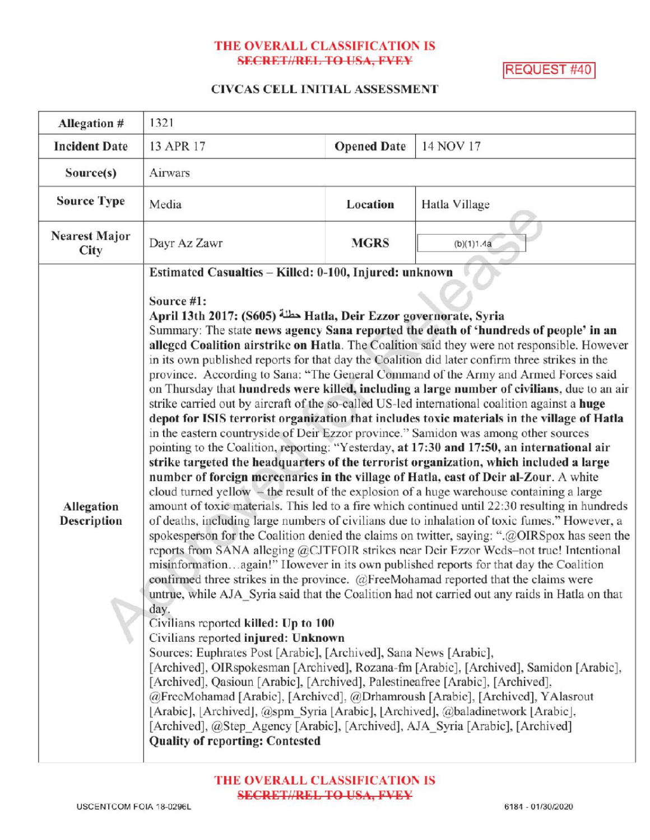### THE OVERALL CLASSIFICATION IS **SECRET//REL TO USA, FVEY**

REQUEST #40

# CIVCAS CELL INITIAL ASSESSMENT

| Allegation #                     | 1321                                                                                                                                                                                                                                                                                                                                                                                                                                                                                                                                                                                                                                                                                                                                                                                                                                                                                                                                                                                                                                                                                                                                                                                                                                                                                                                                                                                                                                                                                                                                                                                                                                                                                                                                                                                                                                                                                                                                                                                                                                                                                                                                                                                                                                                                                                                                                                                                                                                                                                |                    |               |
|----------------------------------|-----------------------------------------------------------------------------------------------------------------------------------------------------------------------------------------------------------------------------------------------------------------------------------------------------------------------------------------------------------------------------------------------------------------------------------------------------------------------------------------------------------------------------------------------------------------------------------------------------------------------------------------------------------------------------------------------------------------------------------------------------------------------------------------------------------------------------------------------------------------------------------------------------------------------------------------------------------------------------------------------------------------------------------------------------------------------------------------------------------------------------------------------------------------------------------------------------------------------------------------------------------------------------------------------------------------------------------------------------------------------------------------------------------------------------------------------------------------------------------------------------------------------------------------------------------------------------------------------------------------------------------------------------------------------------------------------------------------------------------------------------------------------------------------------------------------------------------------------------------------------------------------------------------------------------------------------------------------------------------------------------------------------------------------------------------------------------------------------------------------------------------------------------------------------------------------------------------------------------------------------------------------------------------------------------------------------------------------------------------------------------------------------------------------------------------------------------------------------------------------------------|--------------------|---------------|
| <b>Incident Date</b>             | 13 APR 17                                                                                                                                                                                                                                                                                                                                                                                                                                                                                                                                                                                                                                                                                                                                                                                                                                                                                                                                                                                                                                                                                                                                                                                                                                                                                                                                                                                                                                                                                                                                                                                                                                                                                                                                                                                                                                                                                                                                                                                                                                                                                                                                                                                                                                                                                                                                                                                                                                                                                           | <b>Opened Date</b> | 14 NOV 17     |
| Source(s)                        | Airwars                                                                                                                                                                                                                                                                                                                                                                                                                                                                                                                                                                                                                                                                                                                                                                                                                                                                                                                                                                                                                                                                                                                                                                                                                                                                                                                                                                                                                                                                                                                                                                                                                                                                                                                                                                                                                                                                                                                                                                                                                                                                                                                                                                                                                                                                                                                                                                                                                                                                                             |                    |               |
| <b>Source Type</b>               | Media                                                                                                                                                                                                                                                                                                                                                                                                                                                                                                                                                                                                                                                                                                                                                                                                                                                                                                                                                                                                                                                                                                                                                                                                                                                                                                                                                                                                                                                                                                                                                                                                                                                                                                                                                                                                                                                                                                                                                                                                                                                                                                                                                                                                                                                                                                                                                                                                                                                                                               | Location           | Hatla Village |
| <b>Nearest Major</b><br>City     | Dayr Az Zawr                                                                                                                                                                                                                                                                                                                                                                                                                                                                                                                                                                                                                                                                                                                                                                                                                                                                                                                                                                                                                                                                                                                                                                                                                                                                                                                                                                                                                                                                                                                                                                                                                                                                                                                                                                                                                                                                                                                                                                                                                                                                                                                                                                                                                                                                                                                                                                                                                                                                                        | <b>MGRS</b>        | (b)(1)1.4a    |
|                                  | Estimated Casualties - Killed: 0-100, Injured: unknown<br>Source #1:                                                                                                                                                                                                                                                                                                                                                                                                                                                                                                                                                                                                                                                                                                                                                                                                                                                                                                                                                                                                                                                                                                                                                                                                                                                                                                                                                                                                                                                                                                                                                                                                                                                                                                                                                                                                                                                                                                                                                                                                                                                                                                                                                                                                                                                                                                                                                                                                                                |                    |               |
| Allegation<br><b>Description</b> | April 13th 2017: (S605) حطلة Hatla, Deir Ezzor governorate, Syria<br>Summary: The state news agency Sana reported the death of 'hundreds of people' in an<br>alleged Coalition airstrike on Hatla. The Coalition said they were not responsible. However<br>in its own published reports for that day the Coalition did later confirm three strikes in the<br>province. According to Sana: "The General Command of the Army and Armed Forces said<br>on Thursday that hundreds were killed, including a large number of civilians, due to an air<br>strike carried out by aircraft of the so-called US-led international coalition against a huge<br>depot for ISIS terrorist organization that includes toxic materials in the village of Hatla<br>in the eastern countryside of Deir Ezzor province." Samidon was among other sources<br>pointing to the Coalition, reporting: "Yesterday, at 17:30 and 17:50, an international air<br>strike targeted the headquarters of the terrorist organization, which included a large<br>number of foreign mercenaries in the village of Hatla, east of Deir al-Zour. A white<br>cloud turned yellow - the result of the explosion of a huge warehouse containing a large<br>amount of toxic materials. This led to a fire which continued until 22:30 resulting in hundreds<br>of deaths, including large numbers of civilians due to inhalation of toxic fumes." However, a<br>spokesperson for the Coalition denied the claims on twitter, saying: ".@OIRSpox has seen the<br>reports from SANA alleging @CJTFOIR strikes near Deir Ezzor Weds-not true! Intentional<br>misinformationagain!" However in its own published reports for that day the Coalition<br>confirmed three strikes in the province. (a)FreeMohamad reported that the claims were<br>untrue, while AJA Syria said that the Coalition had not carried out any raids in Hatla on that<br>day.<br>Civilians reported killed: Up to 100<br>Civilians reported injured: Unknown<br>Sources: Euphrates Post [Arabic], [Archived], Sana News [Arabic],<br>[Archived], OIRspokesman [Archived], Rozana-fm [Arabic], [Archived], Samidon [Arabic],<br>[Archived], Qasioun [Arabic], [Archived], Palestineafree [Arabic], [Archived],<br>@FreeMohamad [Arabie], [Archived], @Drhamroush [Arabie], [Archived], YAlasrout<br>[Arabic], [Archived], @spm_Syria [Arabic], [Archived], @baladinetwork [Arabic],<br>[Archived], @Step_Agency [Arabic], [Archived], AJA_Syria [Arabic], [Archived] |                    |               |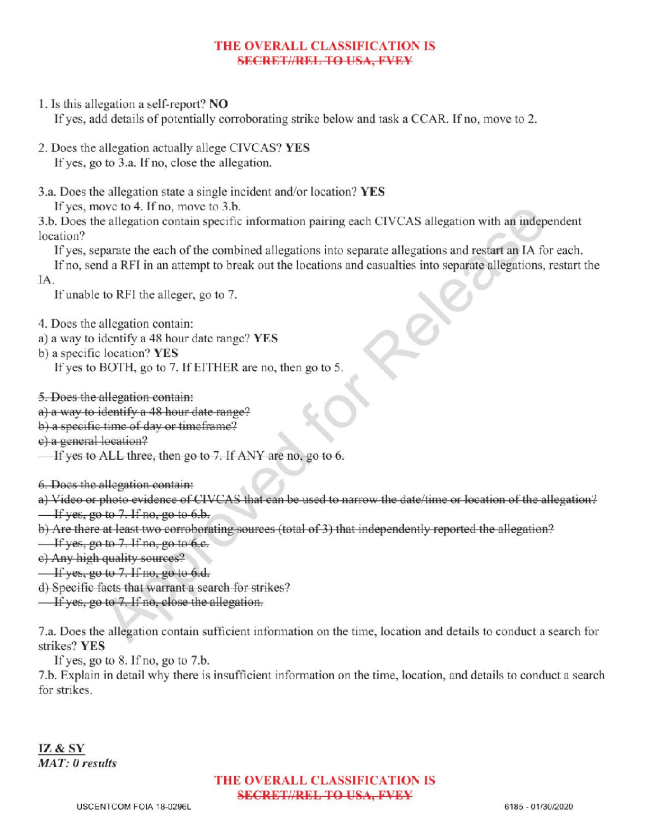### THE OVERALL CLASSIFICATION IS SECRETIAREL TO USA, EVEY

1. Is this allegation a self-report? NO

If yes, add details of potentially corroborating strike below and task a CCAR. If no, move to 2.

- 2. Does the allegation actually allege CIVCAS? YES If yes, go to 3.a. If no, close the allegation.
- 3.a. Does the allegation state a single incident and/or location? YES If yes, move to  $4$ . If no, move to  $3.b$ .

3.b. Does the allegation contain specific information pairing each CIVCAS allegation with an independent location?

Ifyes , separate the each of the combined allegations into separate allegations and restart an IA for each.

Ifno, send <sup>a</sup> RFI in an attempt to break out the locations and casualties into separate allegations, restart the

IA

If unable to RFI the alleger, go to 7.

4. Does the allegation contain:

- a) <sup>a</sup> way to identify a 48 hour date range? YES
- b) a specific location? YES
	- If yes to BOTH, go to 7. If EITHER are no, then go to 5.
- 5. Does the allegation contain:
- a) a way to identify a 48 hour date range?
- b) a specific time of day or timeframe?
- e) a general location?
- If yes to ALL three, then go to  $7$ . If ANY are no, go to  $6$ .

6.Does the allegation contain :

- a) Video or photo evidence of CIVCAS that can be used to narrow the date/time or location of the allegation?  $\frac{1}{1}$  if yes, go to 7. If no, go to 6.b.
- b) Are there at least two corroborating sources (total of 3) that independently reported the allegation?
- $\frac{1}{2}$  If yes, go to 7. If no, go to 6.e.
- e) Any high quality sources?
- $\frac{1}{1}$  if yes, go to 7. If no, go to 6.d.
- ) Specific facts that warrant <sup>a</sup> search for strikes?
- **If yes, go to 7. If no, close the allegation.**

7.a. Does the allegation contain sufficient information on the time, locationand details to conduct a search for strikes? YES

If yes, go to  $8$ . If no, go to  $7.b$ .

7.b. Explain in detail why there is insufficient information on the time, location, and details to conduct a search for strikes

# THE OVERALL CLASSIFICATION IS SECRET//REL TO USA, FVEY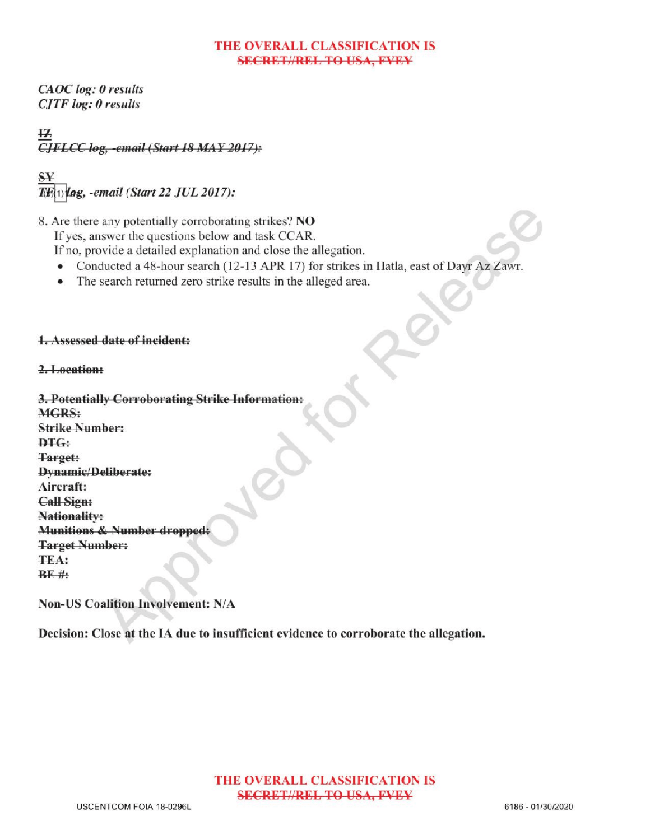### THE OVERALL CLASSIFICATION IS **SECRET//REL TO USA, FVEY**

CAOC log: 0 results  $CJTF log: 0$  results

 $\overline{12}$ CJFLCC log, -email (Start 18 MAY 2017):

S log, -email (Start 22 JUL 2017):

8. Are there any potentially corroborating strikes? NO

If yes, answer the questions below and task CCAR.

If no, provide a detailed explanation and close the allegation.

- Conducted a 48-hour search (12-13 APR 17) for strikes in Hatla, east of Dayr Az Zawr.
- The search returned zero strike results in the alleged area. Former

# **1.** Assessed date of incident:

# 2.Location:

3. Potentially Corroborating Strike Information: MGRS: Strike Number:  $<sub>PTG</sub>$ </sub> Target: Dynamic/Deliberate: Aircraft: **Call Sign: Nationality:** Munitions & Number dropped: Target Number:<br>TEA:  $BF#$ 

Non- US Coalition Involvement: N/A

Decision: Close at the IA due to insufficient evidence to corroborate the allegation.

# THE OVERALL CLASSIFICATION IS SECRET//REL TO USA, FVEY